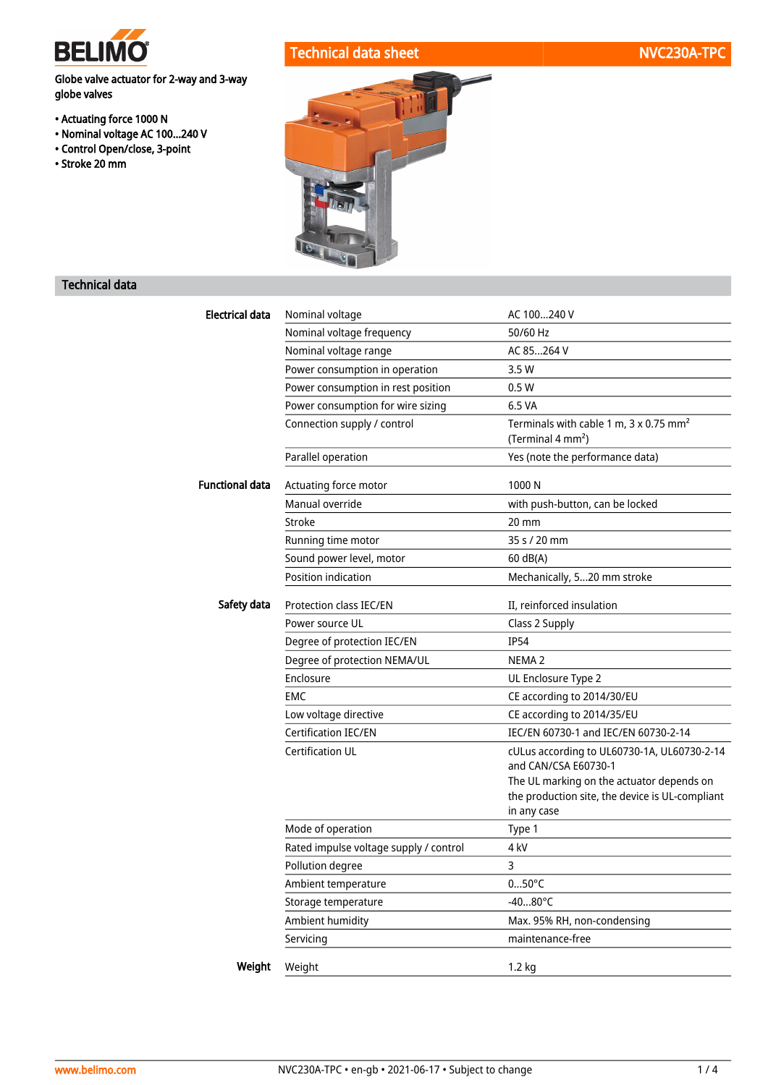

## Technical data sheet NVC230A-TPC

Globe valve actuator for 2-way and 3-way globe valves

- Actuating force 1000 N
- Nominal voltage AC 100...240 V
- Control Open/close, 3-point
- Stroke 20 mm



## Technical data

| Electrical data        | Nominal voltage                        | AC 100240 V                                                                                                 |  |  |  |
|------------------------|----------------------------------------|-------------------------------------------------------------------------------------------------------------|--|--|--|
|                        | Nominal voltage frequency              | 50/60 Hz                                                                                                    |  |  |  |
|                        | Nominal voltage range                  | AC 85264 V                                                                                                  |  |  |  |
|                        | Power consumption in operation         | 3.5W                                                                                                        |  |  |  |
|                        | Power consumption in rest position     | 0.5W                                                                                                        |  |  |  |
|                        | Power consumption for wire sizing      | 6.5 VA                                                                                                      |  |  |  |
|                        | Connection supply / control            | Terminals with cable 1 m, 3 x 0.75 mm <sup>2</sup><br>(Terminal 4 mm <sup>2</sup> )                         |  |  |  |
|                        | Parallel operation                     | Yes (note the performance data)                                                                             |  |  |  |
| <b>Functional data</b> | Actuating force motor                  | 1000 N                                                                                                      |  |  |  |
|                        | Manual override                        | with push-button, can be locked                                                                             |  |  |  |
|                        | Stroke                                 | 20 mm                                                                                                       |  |  |  |
|                        | Running time motor                     | 35 s / 20 mm                                                                                                |  |  |  |
|                        | Sound power level, motor               | 60 dB(A)                                                                                                    |  |  |  |
|                        | Position indication                    | Mechanically, 520 mm stroke                                                                                 |  |  |  |
| Safety data            | Protection class IEC/EN                | II, reinforced insulation                                                                                   |  |  |  |
|                        | Power source UL                        | Class 2 Supply                                                                                              |  |  |  |
|                        | Degree of protection IEC/EN            | <b>IP54</b>                                                                                                 |  |  |  |
|                        | Degree of protection NEMA/UL           | NEMA <sub>2</sub>                                                                                           |  |  |  |
|                        | Enclosure                              | UL Enclosure Type 2                                                                                         |  |  |  |
|                        | <b>EMC</b>                             | CE according to 2014/30/EU                                                                                  |  |  |  |
|                        | Low voltage directive                  | CE according to 2014/35/EU                                                                                  |  |  |  |
|                        | <b>Certification IEC/EN</b>            | IEC/EN 60730-1 and IEC/EN 60730-2-14                                                                        |  |  |  |
|                        | <b>Certification UL</b>                | cULus according to UL60730-1A, UL60730-2-14<br>and CAN/CSA E60730-1                                         |  |  |  |
|                        |                                        | The UL marking on the actuator depends on<br>the production site, the device is UL-compliant<br>in any case |  |  |  |
|                        | Mode of operation                      | Type 1                                                                                                      |  |  |  |
|                        | Rated impulse voltage supply / control | 4 kV                                                                                                        |  |  |  |
|                        | Pollution degree                       | 3                                                                                                           |  |  |  |
|                        | Ambient temperature                    | $050^{\circ}$ C                                                                                             |  |  |  |
|                        | Storage temperature                    | $-4080^{\circ}$ C                                                                                           |  |  |  |
|                        | Ambient humidity                       | Max. 95% RH, non-condensing                                                                                 |  |  |  |
|                        | Servicing                              | maintenance-free                                                                                            |  |  |  |
| Weight                 | Weight                                 | $1.2$ kg                                                                                                    |  |  |  |
|                        |                                        |                                                                                                             |  |  |  |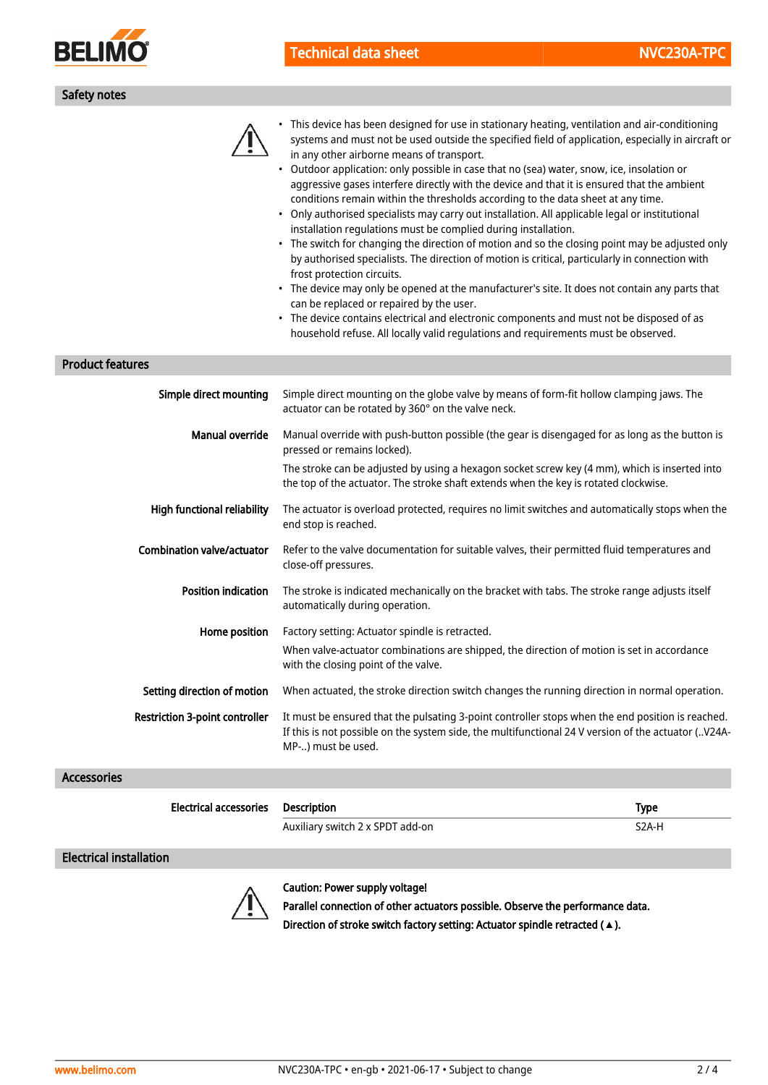

| <b>Technical data shee</b> |  |  |  |  |
|----------------------------|--|--|--|--|
|                            |  |  |  |  |
|                            |  |  |  |  |

| Safety notes                          |                                                                                                                                                                                                                                                                                                                                                                                                                                                                                                                                                                                                                                                                                                                                                                                                                                                                                                                                                                                                                                                                                                                                                                                                                                                                                        |
|---------------------------------------|----------------------------------------------------------------------------------------------------------------------------------------------------------------------------------------------------------------------------------------------------------------------------------------------------------------------------------------------------------------------------------------------------------------------------------------------------------------------------------------------------------------------------------------------------------------------------------------------------------------------------------------------------------------------------------------------------------------------------------------------------------------------------------------------------------------------------------------------------------------------------------------------------------------------------------------------------------------------------------------------------------------------------------------------------------------------------------------------------------------------------------------------------------------------------------------------------------------------------------------------------------------------------------------|
|                                       | This device has been designed for use in stationary heating, ventilation and air-conditioning<br>systems and must not be used outside the specified field of application, especially in aircraft or<br>in any other airborne means of transport.<br>Outdoor application: only possible in case that no (sea) water, snow, ice, insolation or<br>$\bullet$<br>aggressive gases interfere directly with the device and that it is ensured that the ambient<br>conditions remain within the thresholds according to the data sheet at any time.<br>• Only authorised specialists may carry out installation. All applicable legal or institutional<br>installation regulations must be complied during installation.<br>• The switch for changing the direction of motion and so the closing point may be adjusted only<br>by authorised specialists. The direction of motion is critical, particularly in connection with<br>frost protection circuits.<br>• The device may only be opened at the manufacturer's site. It does not contain any parts that<br>can be replaced or repaired by the user.<br>• The device contains electrical and electronic components and must not be disposed of as<br>household refuse. All locally valid regulations and requirements must be observed. |
| <b>Product features</b>               |                                                                                                                                                                                                                                                                                                                                                                                                                                                                                                                                                                                                                                                                                                                                                                                                                                                                                                                                                                                                                                                                                                                                                                                                                                                                                        |
| Simple direct mounting                | Simple direct mounting on the globe valve by means of form-fit hollow clamping jaws. The<br>actuator can be rotated by 360° on the valve neck.                                                                                                                                                                                                                                                                                                                                                                                                                                                                                                                                                                                                                                                                                                                                                                                                                                                                                                                                                                                                                                                                                                                                         |
| Manual override                       | Manual override with push-button possible (the gear is disengaged for as long as the button is<br>pressed or remains locked).                                                                                                                                                                                                                                                                                                                                                                                                                                                                                                                                                                                                                                                                                                                                                                                                                                                                                                                                                                                                                                                                                                                                                          |
|                                       | The stroke can be adjusted by using a hexagon socket screw key (4 mm), which is inserted into<br>the top of the actuator. The stroke shaft extends when the key is rotated clockwise.                                                                                                                                                                                                                                                                                                                                                                                                                                                                                                                                                                                                                                                                                                                                                                                                                                                                                                                                                                                                                                                                                                  |
| High functional reliability           | The actuator is overload protected, requires no limit switches and automatically stops when the<br>end stop is reached.                                                                                                                                                                                                                                                                                                                                                                                                                                                                                                                                                                                                                                                                                                                                                                                                                                                                                                                                                                                                                                                                                                                                                                |
| <b>Combination valve/actuator</b>     | Refer to the valve documentation for suitable valves, their permitted fluid temperatures and<br>close-off pressures.                                                                                                                                                                                                                                                                                                                                                                                                                                                                                                                                                                                                                                                                                                                                                                                                                                                                                                                                                                                                                                                                                                                                                                   |
| <b>Position indication</b>            | The stroke is indicated mechanically on the bracket with tabs. The stroke range adjusts itself<br>automatically during operation.                                                                                                                                                                                                                                                                                                                                                                                                                                                                                                                                                                                                                                                                                                                                                                                                                                                                                                                                                                                                                                                                                                                                                      |
| Home position                         | Factory setting: Actuator spindle is retracted.<br>When valve-actuator combinations are shipped, the direction of motion is set in accordance<br>with the closing point of the valve.                                                                                                                                                                                                                                                                                                                                                                                                                                                                                                                                                                                                                                                                                                                                                                                                                                                                                                                                                                                                                                                                                                  |
| Setting direction of motion           | When actuated, the stroke direction switch changes the running direction in normal operation.                                                                                                                                                                                                                                                                                                                                                                                                                                                                                                                                                                                                                                                                                                                                                                                                                                                                                                                                                                                                                                                                                                                                                                                          |
| <b>Restriction 3-point controller</b> | It must be ensured that the pulsating 3-point controller stops when the end position is reached.<br>If this is not possible on the system side, the multifunctional 24 V version of the actuator ( V24A-                                                                                                                                                                                                                                                                                                                                                                                                                                                                                                                                                                                                                                                                                                                                                                                                                                                                                                                                                                                                                                                                               |

#### Accessories

| Electrical accessories Description | 'vpe |
|------------------------------------|------|

Auxiliary switch 2 x SPDT add-on S2A-H

MP-..) must be used.

Electrical installation



### Caution: Power supply voltage!

Parallel connection of other actuators possible. Observe the performance data. Direction of stroke switch factory setting: Actuator spindle retracted (**▲**).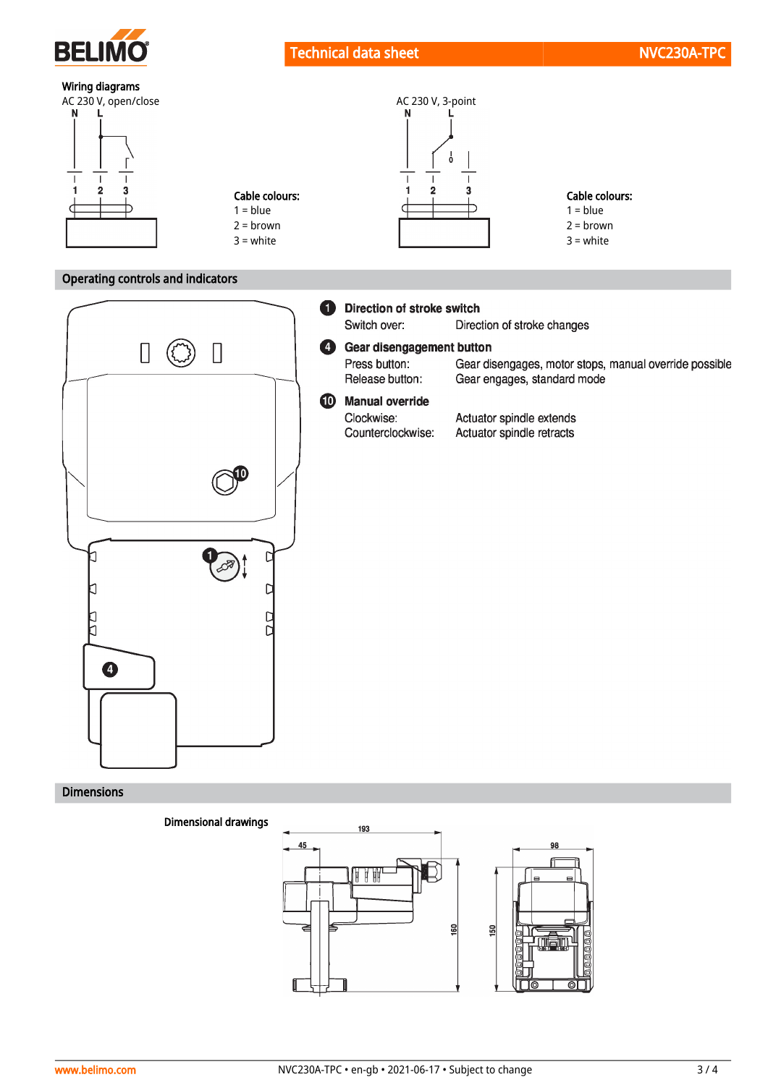

# Wiring diagrams



## Operating controls and indicators



### Dimensions